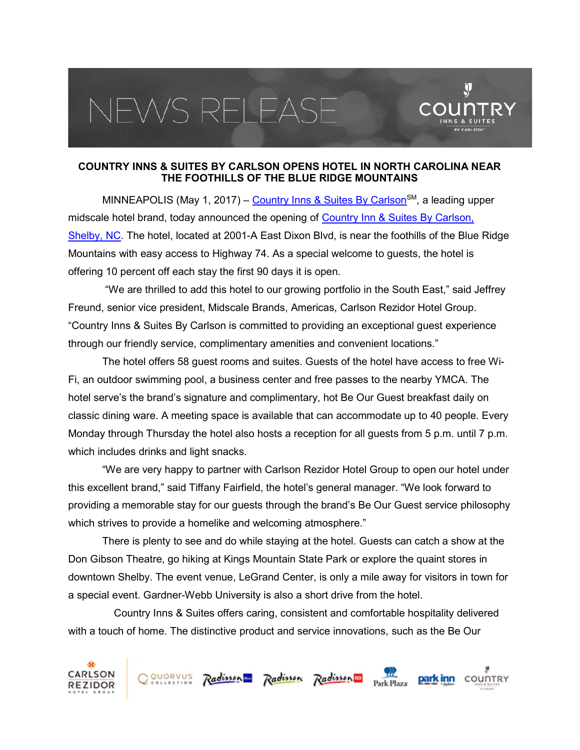## VEWS RELEAS



 $\mathbf{\hat{y}}$ 

MINNEAPOLIS (May 1, 2017) – Country Inns & Suites By Carlson<sup>SM</sup>, a leading upper midscale hotel brand, today announced the opening of Country Inn & Suites By Carlson, Shelby, NC. The hotel, located at 2001-A East Dixon Blvd, is near the foothills of the Blue Ridge Mountains with easy access to Highway 74. As a special welcome to guests, the hotel is offering 10 percent off each stay the first 90 days it is open.

 "We are thrilled to add this hotel to our growing portfolio in the South East," said Jeffrey Freund, senior vice president, Midscale Brands, Americas, Carlson Rezidor Hotel Group. "Country Inns & Suites By Carlson is committed to providing an exceptional guest experience through our friendly service, complimentary amenities and convenient locations."

The hotel offers 58 guest rooms and suites. Guests of the hotel have access to free Wi-Fi, an outdoor swimming pool, a business center and free passes to the nearby YMCA. The hotel serve's the brand's signature and complimentary, hot Be Our Guest breakfast daily on classic dining ware. A meeting space is available that can accommodate up to 40 people. Every Monday through Thursday the hotel also hosts a reception for all guests from 5 p.m. until 7 p.m. which includes drinks and light snacks.

"We are very happy to partner with Carlson Rezidor Hotel Group to open our hotel under this excellent brand," said Tiffany Fairfield, the hotel's general manager. "We look forward to providing a memorable stay for our guests through the brand's Be Our Guest service philosophy which strives to provide a homelike and welcoming atmosphere."

There is plenty to see and do while staying at the hotel. Guests can catch a show at the Don Gibson Theatre, go hiking at Kings Mountain State Park or explore the quaint stores in downtown Shelby. The event venue, LeGrand Center, is only a mile away for visitors in town for a special event. Gardner-Webb University is also a short drive from the hotel.

 Country Inns & Suites offers caring, consistent and comfortable hospitality delivered with a touch of home. The distinctive product and service innovations, such as the Be Our